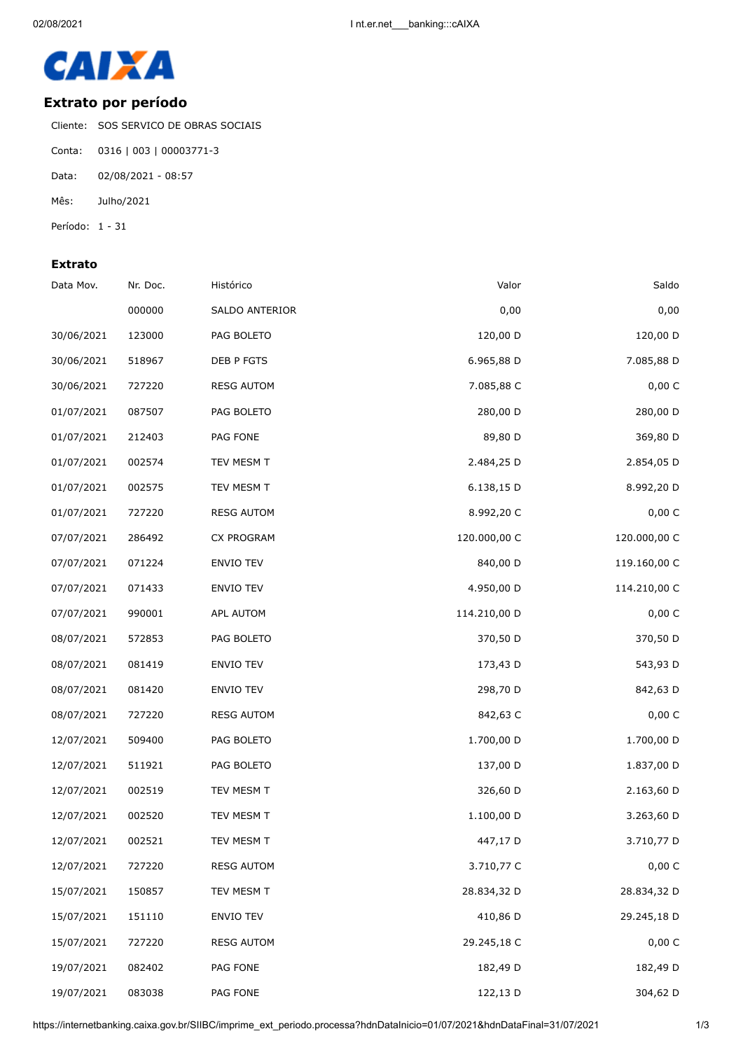

## **Extrato por período**

Cliente: SOS SERVICO DE OBRAS SOCIAIS

- Conta: 0316 | 003 | 00003771-3
- Data: 02/08/2021 08:57
- Mês: Julho/2021
- Período: 1 31

## **Extrato**

| Data Mov.  | Nr. Doc. | Histórico         | Valor        | Saldo        |
|------------|----------|-------------------|--------------|--------------|
|            | 000000   | SALDO ANTERIOR    | 0,00         | 0,00         |
| 30/06/2021 | 123000   | PAG BOLETO        | 120,00 D     | 120,00 D     |
| 30/06/2021 | 518967   | DEB P FGTS        | 6.965,88 D   | 7.085,88 D   |
| 30/06/2021 | 727220   | <b>RESG AUTOM</b> | 7.085,88 C   | 0,00 C       |
| 01/07/2021 | 087507   | PAG BOLETO        | 280,00 D     | 280,00 D     |
| 01/07/2021 | 212403   | PAG FONE          | 89,80 D      | 369,80 D     |
| 01/07/2021 | 002574   | TEV MESM T        | 2.484,25 D   | 2.854,05 D   |
| 01/07/2021 | 002575   | TEV MESM T        | 6.138,15 D   | 8.992,20 D   |
| 01/07/2021 | 727220   | <b>RESG AUTOM</b> | 8.992,20 C   | 0,00 C       |
| 07/07/2021 | 286492   | CX PROGRAM        | 120.000,00 C | 120.000,00 C |
| 07/07/2021 | 071224   | ENVIO TEV         | 840,00 D     | 119.160,00 C |
| 07/07/2021 | 071433   | ENVIO TEV         | 4.950,00 D   | 114.210,00 C |
| 07/07/2021 | 990001   | APL AUTOM         | 114.210,00 D | 0,00 C       |
| 08/07/2021 | 572853   | PAG BOLETO        | 370,50 D     | 370,50 D     |
| 08/07/2021 | 081419   | ENVIO TEV         | 173,43 D     | 543,93 D     |
| 08/07/2021 | 081420   | ENVIO TEV         | 298,70 D     | 842,63 D     |
| 08/07/2021 | 727220   | <b>RESG AUTOM</b> | 842,63 C     | 0,00 C       |
| 12/07/2021 | 509400   | PAG BOLETO        | 1.700,00 D   | 1.700,00 D   |
| 12/07/2021 | 511921   | PAG BOLETO        | 137,00 D     | 1.837,00 D   |
| 12/07/2021 | 002519   | TEV MESM T        | 326,60 D     | 2.163,60 D   |
| 12/07/2021 | 002520   | TEV MESM T        | 1.100,00 D   | 3.263,60 D   |
| 12/07/2021 | 002521   | TEV MESM T        | 447,17 D     | 3.710,77 D   |
| 12/07/2021 | 727220   | <b>RESG AUTOM</b> | 3.710,77 C   | 0,00 C       |
| 15/07/2021 | 150857   | TEV MESM T        | 28.834,32 D  | 28.834,32 D  |
| 15/07/2021 | 151110   | ENVIO TEV         | 410,86 D     | 29.245,18 D  |
| 15/07/2021 | 727220   | <b>RESG AUTOM</b> | 29.245,18 C  | $0,00\,$ C   |
| 19/07/2021 | 082402   | PAG FONE          | 182,49 D     | 182,49 D     |
| 19/07/2021 | 083038   | PAG FONE          | 122,13 D     | 304,62 D     |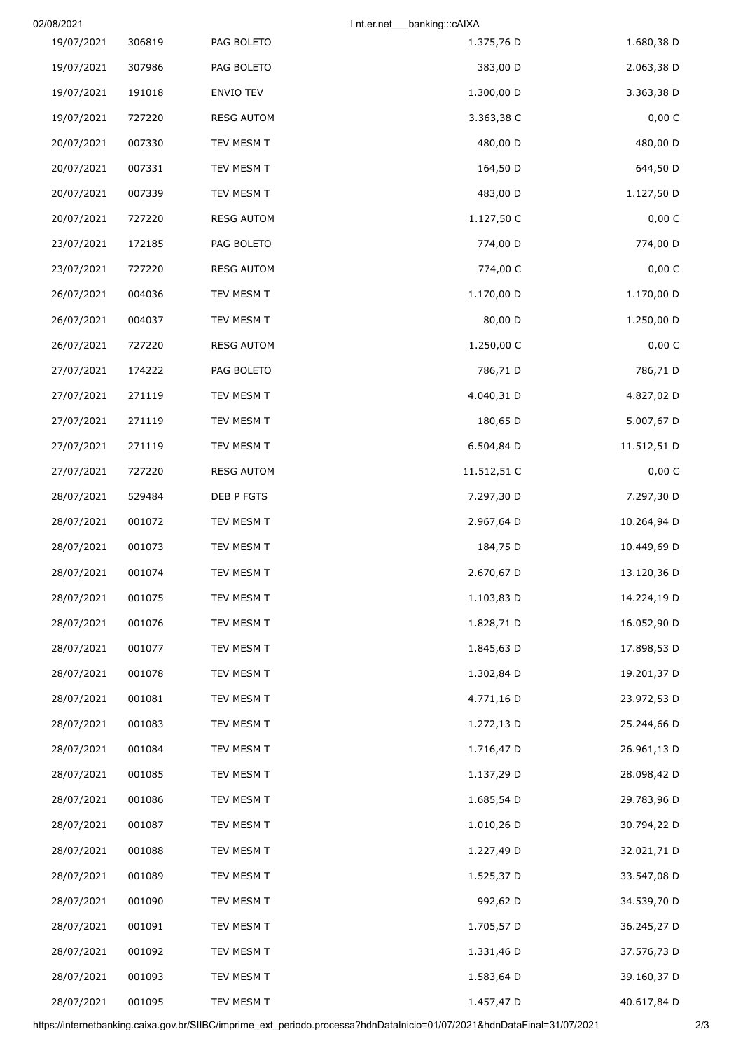| 02/08/2021 |        |                   | Int.er.net<br>_banking:::cAIXA |             |
|------------|--------|-------------------|--------------------------------|-------------|
| 19/07/2021 | 306819 | PAG BOLETO        | 1.375,76 D                     | 1.680,38 D  |
| 19/07/2021 | 307986 | PAG BOLETO        | 383,00 D                       | 2.063,38 D  |
| 19/07/2021 | 191018 | ENVIO TEV         | 1.300,00 D                     | 3.363,38 D  |
| 19/07/2021 | 727220 | <b>RESG AUTOM</b> | 3.363,38 C                     | 0,00 C      |
| 20/07/2021 | 007330 | TEV MESM T        | 480,00 D                       | 480,00 D    |
| 20/07/2021 | 007331 | TEV MESM T        | 164,50 D                       | 644,50 D    |
| 20/07/2021 | 007339 | TEV MESM T        | 483,00 D                       | 1.127,50 D  |
| 20/07/2021 | 727220 | <b>RESG AUTOM</b> | 1.127,50 C                     | 0,00 C      |
| 23/07/2021 | 172185 | PAG BOLETO        | 774,00 D                       | 774,00 D    |
| 23/07/2021 | 727220 | <b>RESG AUTOM</b> | 774,00 C                       | 0,00 C      |
| 26/07/2021 | 004036 | TEV MESM T        | 1.170,00 D                     | 1.170,00 D  |
| 26/07/2021 | 004037 | TEV MESM T        | 80,00 D                        | 1.250,00 D  |
| 26/07/2021 | 727220 | <b>RESG AUTOM</b> | 1.250,00 C                     | 0,00 C      |
| 27/07/2021 | 174222 | PAG BOLETO        | 786,71 D                       | 786,71 D    |
| 27/07/2021 | 271119 | TEV MESM T        | 4.040,31 D                     | 4.827,02 D  |
| 27/07/2021 | 271119 | TEV MESM T        | 180,65 D                       | 5.007,67 D  |
| 27/07/2021 | 271119 | TEV MESM T        | 6.504,84 D                     | 11.512,51 D |
| 27/07/2021 | 727220 | <b>RESG AUTOM</b> | 11.512,51 C                    | 0,00 C      |
| 28/07/2021 | 529484 | DEB P FGTS        | 7.297,30 D                     | 7.297,30 D  |
| 28/07/2021 | 001072 | TEV MESM T        | 2.967,64 D                     | 10.264,94 D |
| 28/07/2021 | 001073 | TEV MESM T        | 184,75 D                       | 10.449,69 D |
| 28/07/2021 | 001074 | TEV MESM T        | 2.670,67 D                     | 13.120,36 D |
| 28/07/2021 | 001075 | TEV MESM T        | 1.103,83 D                     | 14.224,19 D |
| 28/07/2021 | 001076 | TEV MESM T        | 1.828,71 D                     | 16.052,90 D |
| 28/07/2021 | 001077 | TEV MESM T        | 1.845,63 D                     | 17.898,53 D |
| 28/07/2021 | 001078 | TEV MESM T        | 1.302,84 D                     | 19.201,37 D |
| 28/07/2021 | 001081 | TEV MESM T        | 4.771,16 D                     | 23.972,53 D |
| 28/07/2021 | 001083 | TEV MESM T        | 1.272,13 D                     | 25.244,66 D |
| 28/07/2021 | 001084 | TEV MESM T        | 1.716,47 D                     | 26.961,13 D |
| 28/07/2021 | 001085 | TEV MESM T        | 1.137,29 D                     | 28.098,42 D |
| 28/07/2021 | 001086 | TEV MESM T        | 1.685,54 D                     | 29.783,96 D |
| 28/07/2021 | 001087 | TEV MESM T        | 1.010,26 D                     | 30.794,22 D |
| 28/07/2021 | 001088 | TEV MESM T        | 1.227,49 D                     | 32.021,71 D |
| 28/07/2021 | 001089 | TEV MESM T        | 1.525,37 D                     | 33.547,08 D |
| 28/07/2021 | 001090 | TEV MESM T        | 992,62 D                       | 34.539,70 D |
| 28/07/2021 | 001091 | TEV MESM T        | 1.705,57 D                     | 36.245,27 D |
| 28/07/2021 | 001092 | TEV MESM T        | 1.331,46 D                     | 37.576,73 D |
| 28/07/2021 | 001093 | TEV MESM T        | 1.583,64 D                     | 39.160,37 D |
| 28/07/2021 | 001095 | TEV MESM T        | 1.457,47 D                     | 40.617,84 D |